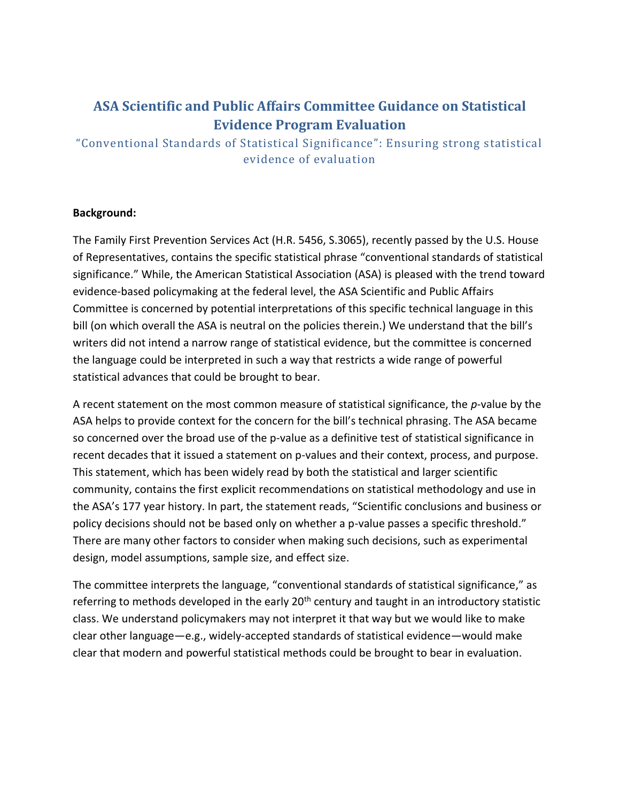## **ASA Scientific and Public Affairs Committee Guidance on Statistical Evidence Program Evaluation**

"Conventional Standards of Statistical Significance": Ensuring strong statistical evidence of evaluation

## **Background:**

The Family First Prevention Services Act (H.R. 5456, S.3065), recently passed by the U.S. House of Representatives, contains the specific statistical phrase "conventional standards of statistical significance." While, the American Statistical Association (ASA) is pleased with the trend toward evidence-based policymaking at the federal level, the ASA Scientific and Public Affairs Committee is concerned by potential interpretations of this specific technical language in this bill (on which overall the ASA is neutral on the policies therein.) We understand that the bill's writers did not intend a narrow range of statistical evidence, but the committee is concerned the language could be interpreted in such a way that restricts a wide range of powerful statistical advances that could be brought to bear.

A recent statement on the most common measure of statistical significance, the *p*-value by the ASA helps to provide context for the concern for the bill's technical phrasing. The ASA became so concerned over the broad use of the p-value as a definitive test of statistical significance in recent decades that it issued a statement on p-values and their context, process, and purpose. This statement, which has been widely read by both the statistical and larger scientific community, contains the first explicit recommendations on statistical methodology and use in the ASA's 177 year history. In part, the statement reads, "Scientific conclusions and business or policy decisions should not be based only on whether a p-value passes a specific threshold." There are many other factors to consider when making such decisions, such as experimental design, model assumptions, sample size, and effect size.

The committee interprets the language, "conventional standards of statistical significance," as referring to methods developed in the early 20<sup>th</sup> century and taught in an introductory statistic class. We understand policymakers may not interpret it that way but we would like to make clear other language—e.g., widely-accepted standards of statistical evidence—would make clear that modern and powerful statistical methods could be brought to bear in evaluation.